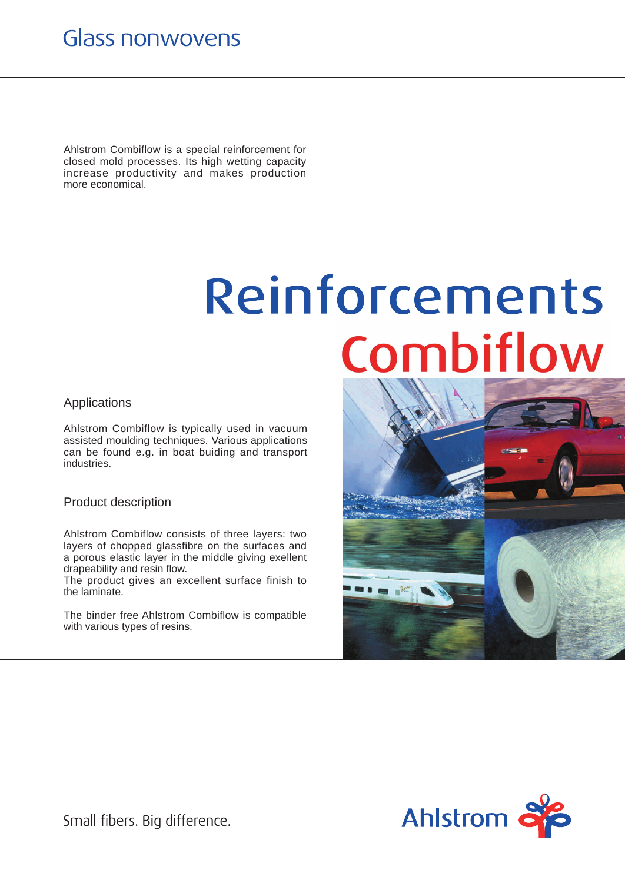### **Glass nonwovens**

Ahlstrom Combiflow is a special reinforcement for closed mold processes. Its high wetting capacity increase productivity and makes production more economical.

# Reinforcements Combiflow

#### Applications

Ahlstrom Combiflow is typically used in vacuum assisted moulding techniques. Various applications can be found e.g. in boat buiding and transport industries.

#### Product description

Ahlstrom Combiflow consists of three layers: two layers of chopped glassfibre on the surfaces and a porous elastic layer in the middle giving exellent drapeability and resin flow.

The product gives an excellent surface finish to the laminate.

The binder free Ahlstrom Combiflow is compatible with various types of resins.